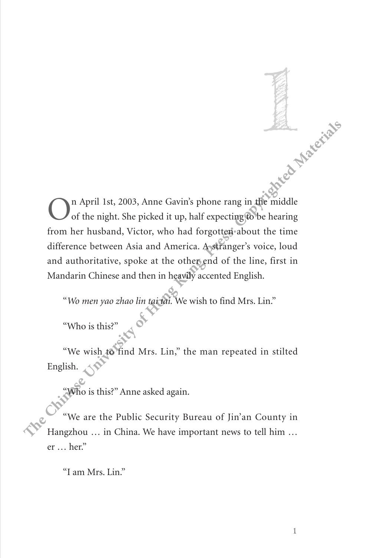On April 1st, 2003, Anne Gavin's phone rang in the middle of the night. She picked it up, half expecting to be hearing from her husband, Victor, who had forgotten about the time difference between Asia and America. A stranger's voice, loud and authoritative, spoke at the other end of the line, first in Mandarin Chinese and then in heavily accented English. **The Chinese Chinese Chinese Chinese Chinese Chinese Chinese Chinese Chinese Chinese Chinese Chinese Chinese Chinese Chinese Chinese Chinese Chinese Chinese and America. Antianger's voice, loud and authoritative, spoke a** 

"*Wo men yao zhao lin tai tai.* We wish to find Mrs. Lin."

"Who is this?"

"We wish to find Mrs. Lin," the man repeated in stilted English.

"Who is this?" Anne asked again.

"We are the Public Security Bureau of Jin'an County in Hangzhou … in China. We have important news to tell him … er … her."

"I am Mrs. Lin."

Near Material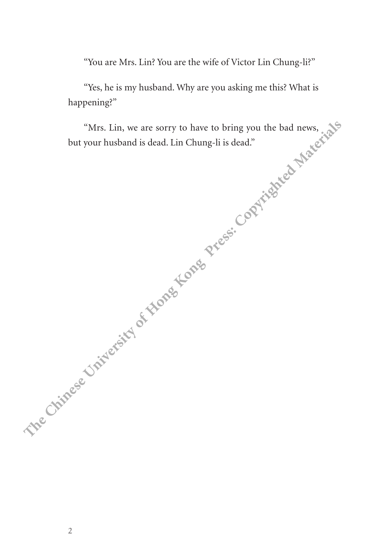"You are Mrs. Lin? You are the wife of Victor Lin Chung-li?"

"Yes, he is my husband. Why are you asking me this? What is happening?"

"Mrs. Lin, we are sorry to have to bring you the bad news, but your husband is dead. Lin Chung-li is dead." The Chinese of Chinese Chinese China and China and China and China and China and China between the bad news, and but your husband is dead. Lin Chung-Hi is dead."<br>
but your husband is dead. Lin Chung-Hi is dead."<br>
Line of C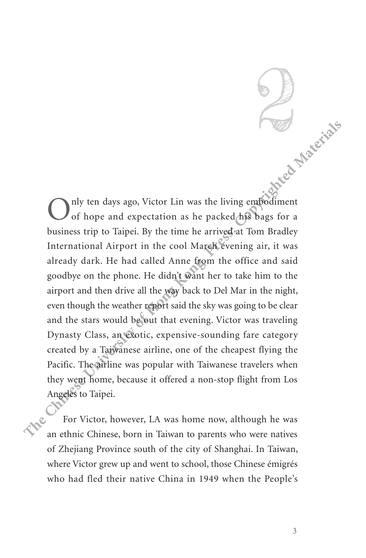nly ten days ago, Victor Lin was the living embodiment of hope and expectation as he packed his bags for a business trip to Taipei. By the time he arrived at Tom Bradley International Airport in the cool March evening air, it was already dark. He had called Anne from the office and said goodbye on the phone. He didn't want her to take him to the airport and then drive all the way back to Del Mar in the night, even though the weather report said the sky was going to be clear and the stars would be out that evening. Victor was traveling Dynasty Class, an exotic, expensive-sounding fare category created by a Taiwanese airline, one of the cheapest flying the Pacific. The airline was popular with Taiwanese travelers when they went home, because it offered a non-stop flight from Los Angeles to Taipei. **The Chinese Space Chinese Space Chinese Space Chinese Space Chinese Space Chinese Space Chinese Space Chinese Space Chinese Space Space Space Space Space Space Space Space Space Space Space Space Space Space Space Space S** 

For Victor, however, LA was home now, although he was an ethnic Chinese, born in Taiwan to parents who were natives of Zhejiang Province south of the city of Shanghai. In Taiwan, where Victor grew up and went to school, those Chinese émigrés who had fled their native China in 1949 when the People's

Ned Materials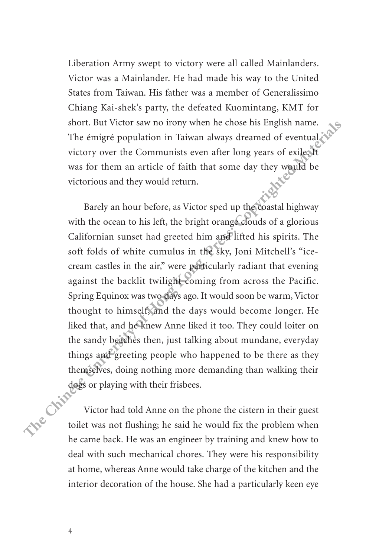Liberation Army swept to victory were all called Mainlanders. Victor was a Mainlander. He had made his way to the United States from Taiwan. His father was a member of Generalissimo Chiang Kai-shek's party, the defeated Kuomintang, KMT for short. But Victor saw no irony when he chose his English name. The émigré population in Taiwan always dreamed of eventual victory over the Communists even after long years of exile. It was for them an article of faith that some day they would be victorious and they would return.

Barely an hour before, as Victor sped up the coastal highway with the ocean to his left, the bright orange clouds of a glorious Californian sunset had greeted him and lifted his spirits. The soft folds of white cumulus in the sky, Joni Mitchell's "icecream castles in the air," were particularly radiant that evening against the backlit twilight coming from across the Pacific. Spring Equinox was two days ago. It would soon be warm, Victor thought to himself, and the days would become longer. He liked that, and he knew Anne liked it too. They could loiter on the sandy beaches then, just talking about mundane, everyday things and greeting people who happened to be there as they themselves, doing nothing more demanding than walking their dogs or playing with their frisbees. States from Taiwan. His father was a member of Generalissimo<br>
Chinag Kai-shek's partly, the defeated Kuomintang, KMT for<br>
short. But Victor saw no irony when he chose his English name.<br>
The émigré population in Taiwan alwa

Victor had told Anne on the phone the cistern in their guest toilet was not flushing; he said he would fix the problem when he came back. He was an engineer by training and knew how to deal with such mechanical chores. They were his responsibility at home, whereas Anne would take charge of the kitchen and the interior decoration of the house. She had a particularly keen eye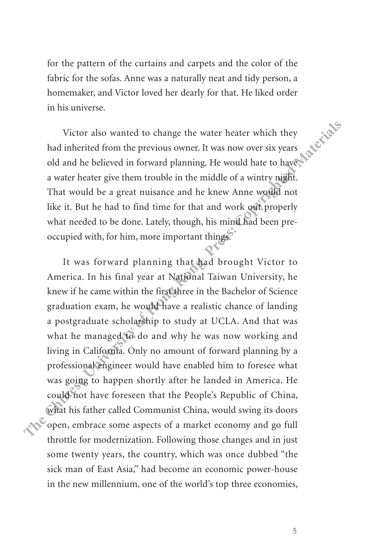for the pattern of the curtains and carpets and the color of the fabric for the sofas. Anne was a naturally neat and tidy person, a homemaker, and Victor loved her dearly for that. He liked order in his universe.

Victor also wanted to change the water heater which they had inherited from the previous owner. It was now over six years old and he believed in forward planning. He would hate to have a water heater give them trouble in the middle of a wintry night. That would be a great nuisance and he knew Anne would not like it. But he had to find time for that and work out properly what needed to be done. Lately, though, his mind had been preoccupied with, for him, more important things.

It was forward planning that had brought Victor to America. In his final year at National Taiwan University, he knew if he came within the first three in the Bachelor of Science graduation exam, he would have a realistic chance of landing a postgraduate scholarship to study at UCLA. And that was what he managed to do and why he was now working and living in California. Only no amount of forward planning by a professional engineer would have enabled him to foresee what was going to happen shortly after he landed in America. He could not have foreseen that the People's Republic of China, what his father called Communist China, would swing its doors open, embrace some aspects of a market economy and go full throttle for modernization. Following those changes and in just some twenty years, the country, which was once dubbed "the sick man of East Asia," had become an economic power-house in the new millennium, one of the world's top three economies, In this universe.<br>
The interaction of the state is the value of the state of the state of the state of the press of data inherited from the previous owner. It was now over six years of and the believed in forward planing.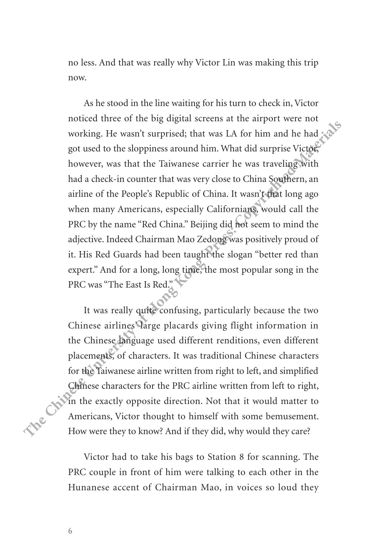no less. And that was really why Victor Lin was making this trip now.

As he stood in the line waiting for his turn to check in, Victor noticed three of the big digital screens at the airport were not working. He wasn't surprised; that was LA for him and he had got used to the sloppiness around him. What did surprise Victor, however, was that the Taiwanese carrier he was traveling with had a check-in counter that was very close to China Southern, an airline of the People's Republic of China. It wasn't that long ago when many Americans, especially Californians, would call the PRC by the name "Red China." Beijing did not seem to mind the adjective. Indeed Chairman Mao Zedong was positively proud of it. His Red Guards had been taught the slogan "better red than expert." And for a long, long time, the most popular song in the PRC was "The East Is Red." As he stood in the line waiting for his turn to check in, Victor<br>noticed three of the big digital screens at the airport were not<br>working. He wasn't surprised; that was LA for him and he had x<br>got used to the sloppiness ar

It was really quite confusing, particularly because the two Chinese airlines large placards giving flight information in the Chinese language used different renditions, even different placements, of characters. It was traditional Chinese characters for the Taiwanese airline written from right to left, and simplified Chinese characters for the PRC airline written from left to right, in the exactly opposite direction. Not that it would matter to Americans, Victor thought to himself with some bemusement. How were they to know? And if they did, why would they care?

Victor had to take his bags to Station 8 for scanning. The PRC couple in front of him were talking to each other in the Hunanese accent of Chairman Mao, in voices so loud they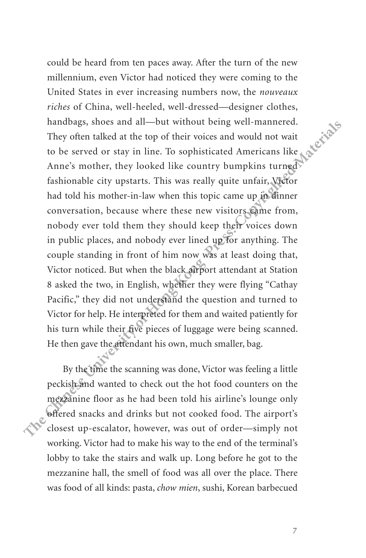could be heard from ten paces away. After the turn of the new millennium, even Victor had noticed they were coming to the United States in ever increasing numbers now, the *nouveaux riches* of China, well-heeled, well-dressed—designer clothes, handbags, shoes and all—but without being well-mannered. They often talked at the top of their voices and would not wait to be served or stay in line. To sophisticated Americans like Anne's mother, they looked like country bumpkins turned fashionable city upstarts. This was really quite unfair, Victor had told his mother-in-law when this topic came up in dinner conversation, because where these new visitors came from, nobody ever told them they should keep their voices down in public places, and nobody ever lined up for anything. The couple standing in front of him now was at least doing that, Victor noticed. But when the black airport attendant at Station 8 asked the two, in English, whether they were flying "Cathay Pacific," they did not understand the question and turned to Victor for help. He interpreted for them and waited patiently for his turn while their five pieces of luggage were being scanned. He then gave the attendant his own, much smaller, bag. United States in ever increasing numbers now, the *nouveaux*<br>
riches,<br>
fredered, colina, well-lended, well-dressed—designer clothes,<br>
handbags, shoes and all—but without being well-mannered.<br>
They often talked at the top

By the time the scanning was done, Victor was feeling a little peckish and wanted to check out the hot food counters on the mezzanine floor as he had been told his airline's lounge only offered snacks and drinks but not cooked food. The airport's closest up-escalator, however, was out of order—simply not working. Victor had to make his way to the end of the terminal's lobby to take the stairs and walk up. Long before he got to the mezzanine hall, the smell of food was all over the place. There was food of all kinds: pasta, *chow mien*, sushi, Korean barbecued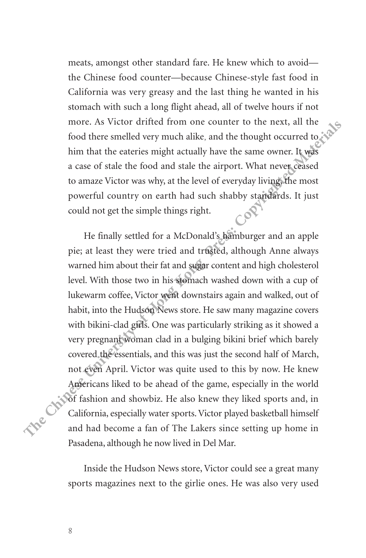meats, amongst other standard fare. He knew which to avoid the Chinese food counter—because Chinese-style fast food in California was very greasy and the last thing he wanted in his stomach with such a long flight ahead, all of twelve hours if not more. As Victor drifted from one counter to the next, all the food there smelled very much alike, and the thought occurred to him that the eateries might actually have the same owner. It was a case of stale the food and stale the airport. What never ceased to amaze Victor was why, at the level of everyday living, the most powerful country on earth had such shabby standards. It just could not get the simple things right.

He finally settled for a McDonald's hamburger and an apple pie; at least they were tried and trusted, although Anne always warned him about their fat and sugar content and high cholesterol level. With those two in his stomach washed down with a cup of lukewarm coffee, Victor went downstairs again and walked, out of habit, into the Hudson News store. He saw many magazine covers with bikini-clad girls. One was particularly striking as it showed a very pregnant woman clad in a bulging bikini brief which barely covered the essentials, and this was just the second half of March, not even April. Victor was quite used to this by now. He knew Americans liked to be ahead of the game, especially in the world of fashion and showbiz. He also knew they liked sports and, in California, especially water sports. Victor played basketball himself and had become a fan of The Lakers since setting up home in Pasadena, although he now lived in Del Mar. Calitornia was very greasy and the last thing he wanted in his stomach with such along flight ahead, all of tweek hours if not more. As Victor drifted from one counter to the next, all the food there smelled very much ali

> Inside the Hudson News store, Victor could see a great many sports magazines next to the girlie ones. He was also very used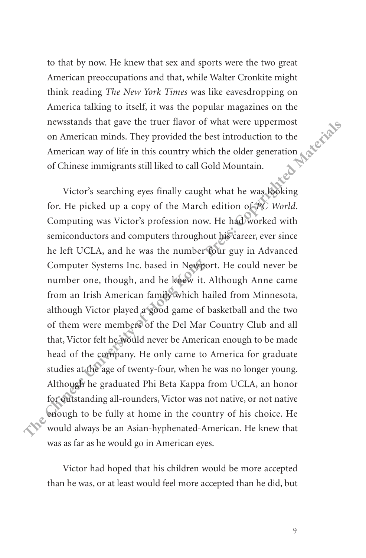to that by now. He knew that sex and sports were the two great American preoccupations and that, while Walter Cronkite might think reading *The New York Times* was like eavesdropping on America talking to itself, it was the popular magazines on the newsstands that gave the truer flavor of what were uppermost on American minds. They provided the best introduction to the American way of life in this country which the older generation of Chinese immigrants still liked to call Gold Mountain.

Victor's searching eyes finally caught what he was looking for. He picked up a copy of the March edition of *PC World*. Computing was Victor's profession now. He had worked with semiconductors and computers throughout his career, ever since he left UCLA, and he was the number four guy in Advanced Computer Systems Inc. based in Newport. He could never be number one, though, and he knew it. Although Anne came from an Irish American family which hailed from Minnesota, although Victor played a good game of basketball and the two of them were members of the Del Mar Country Club and all that, Victor felt he would never be American enough to be made head of the company. He only came to America for graduate studies at the age of twenty-four, when he was no longer young. Although he graduated Phi Beta Kappa from UCLA, an honor for outstanding all-rounders, Victor was not native, or not native enough to be fully at home in the country of his choice. He would always be an Asian-hyphenated-American. He knew that was as far as he would go in American eyes. think reading *The New York Times* was like eavesdropping on<br>America takking to itself, it was the popular magazines on the<br>newstands that gave the truer flavor of what were uppermost<br>on American minds. They provided the

> Victor had hoped that his children would be more accepted than he was, or at least would feel more accepted than he did, but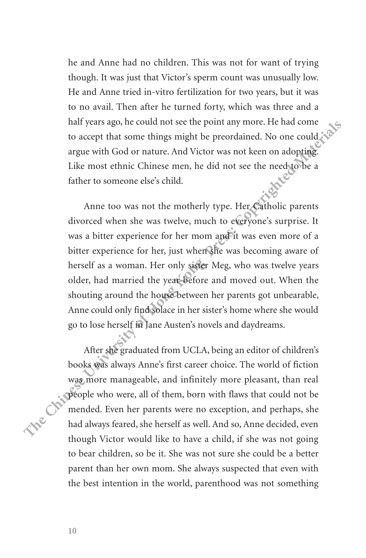he and Anne had no children. This was not for want of trying though. It was just that Victor's sperm count was unusually low. He and Anne tried in-vitro fertilization for two years, but it was to no avail. Then after he turned forty, which was three and a half years ago, he could not see the point any more. He had come to accept that some things might be preordained. No one could argue with God or nature. And Victor was not keen on adopting. Like most ethnic Chinese men, he did not see the need to be a father to someone else's child.

Anne too was not the motherly type. Her Catholic parents divorced when she was twelve, much to everyone's surprise. It was a bitter experience for her mom and it was even more of a bitter experience for her, just when she was becoming aware of herself as a woman. Her only sister Meg, who was twelve years older, had married the year before and moved out. When the shouting around the house between her parents got unbearable, Anne could only find solace in her sister's home where she would go to lose herself in Jane Austen's novels and daydreams. **The and Anne tried in-vitro tertilization for two years, but it was<br>to no avail. Then after he turned fortly, which was three and a<br>half years ago, he could not see the point any more. He had come<br>of a cacept that some th** 

After she graduated from UCLA, being an editor of children's books was always Anne's first career choice. The world of fiction was more manageable, and infinitely more pleasant, than real people who were, all of them, born with flaws that could not be mended. Even her parents were no exception, and perhaps, she had always feared, she herself as well. And so, Anne decided, even though Victor would like to have a child, if she was not going to bear children, so be it. She was not sure she could be a better parent than her own mom. She always suspected that even with the best intention in the world, parenthood was not something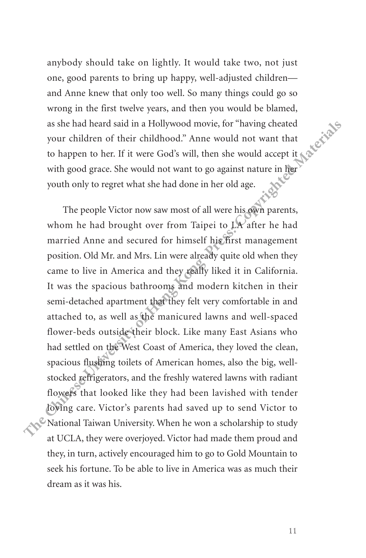anybody should take on lightly. It would take two, not just one, good parents to bring up happy, well-adjusted children and Anne knew that only too well. So many things could go so wrong in the first twelve years, and then you would be blamed, as she had heard said in a Hollywood movie, for "having cheated your children of their childhood." Anne would not want that to happen to her. If it were God's will, then she would accept it with good grace. She would not want to go against nature in her youth only to regret what she had done in her old age.

The people Victor now saw most of all were his own parents, whom he had brought over from Taipei to  $L$ <sup>2</sup> after he had married Anne and secured for himself his first management position. Old Mr. and Mrs. Lin were already quite old when they came to live in America and they really liked it in California. It was the spacious bathrooms and modern kitchen in their semi-detached apartment that they felt very comfortable in and attached to, as well as the manicured lawns and well-spaced flower-beds outside their block. Like many East Asians who had settled on the West Coast of America, they loved the clean, spacious flushing toilets of American homes, also the big, wellstocked refrigerators, and the freshly watered lawns with radiant flowers that looked like they had been lavished with tender loving care. Victor's parents had saved up to send Victor to National Taiwan University. When he won a scholarship to study at UCLA, they were overjoyed. Victor had made them proud and they, in turn, actively encouraged him to go to Gold Mountain to seek his fortune. To be able to live in America was as much their dream as it was his. and Anne knew that only too well. So many things could go so<br>worong in the first twelve years, and then you would be blamed,<br>as she had heard said in a Hollywood movie, for "having cheated<br>your children of their childhood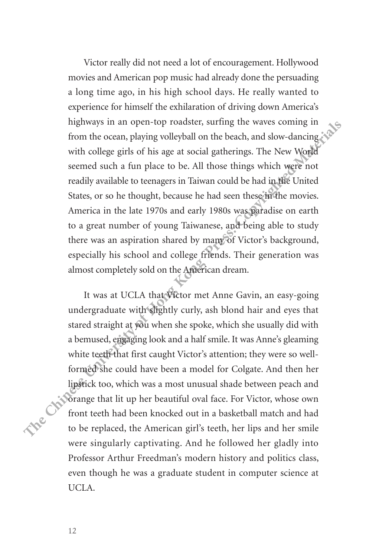Victor really did not need a lot of encouragement. Hollywood movies and American pop music had already done the persuading a long time ago, in his high school days. He really wanted to experience for himself the exhilaration of driving down America's highways in an open-top roadster, surfing the waves coming in from the ocean, playing volleyball on the beach, and slow-dancing  $\mathcal{L}^{\text{th}}$ with college girls of his age at social gatherings. The New World seemed such a fun place to be. All those things which were not readily available to teenagers in Taiwan could be had in the United States, or so he thought, because he had seen these in the movies. America in the late 1970s and early 1980s was paradise on earth to a great number of young Taiwanese, and being able to study there was an aspiration shared by many of Victor's background, especially his school and college friends. Their generation was almost completely sold on the American dream. a long time ago, in his high school days. He really wanted to experience for himself the exhilaration of driving down America's highways in an open-top roadster, surfing the waves coming in from the ocean, playing volleyba

It was at UCLA that Victor met Anne Gavin, an easy-going undergraduate with slightly curly, ash blond hair and eyes that stared straight at you when she spoke, which she usually did with a bemused, engaging look and a half smile. It was Anne's gleaming white teeth that first caught Victor's attention; they were so wellformed she could have been a model for Colgate. And then her lipstick too, which was a most unusual shade between peach and orange that lit up her beautiful oval face. For Victor, whose own front teeth had been knocked out in a basketball match and had to be replaced, the American girl's teeth, her lips and her smile were singularly captivating. And he followed her gladly into Professor Arthur Freedman's modern history and politics class, even though he was a graduate student in computer science at UCLA.